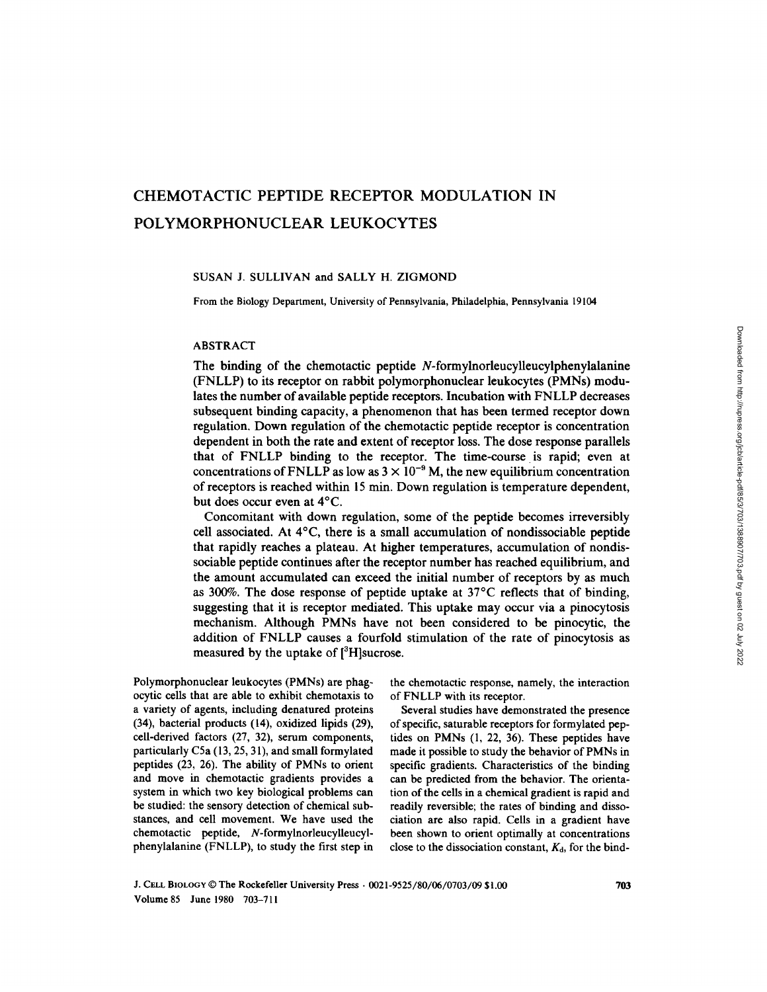# CHEMOTACTIC PEPTIDE RECEPTOR MODULATION IN POLYMORPHONUCLEAR LEUKOCYTES

# SUSAN J. SULLIVAN and SALLY H. ZIGMOND

From the Biology Department, University of Pennsylvania, Philadelphia, Pennsylvania 19104

# ABSTRACT

The binding of the chemotactic peptide N-formylnorleucylleucylphenylalanine (FNLLP) to its receptor on rabbit polymorphonuclear leukocytes (PMNs) modulates the number of available peptide receptors . Incubation with FNLLP decreases subsequent binding capacity, a phenomenon that has been termed receptor down regulation. Down regulation of the chemotactic peptide receptor is concentration dependent in both the rate and extent of receptor loss . The dose response parallels that of FNLLP binding to the receptor. The time-course is rapid; even at concentrations of FNLLP as low as  $3 \times 10^{-9}$  M, the new equilibrium concentration of receptors is reached within <sup>15</sup> min. Down regulation is temperature dependent, but does occur even at 4°C.

Concomitant with down regulation, some of the peptide becomes irreversibly cell associated. At 4°C, there is a small accumulation of nondissociable peptide that rapidly reaches a plateau. At higher temperatures, accumulation of nondissociable peptide continues after the receptor number has reached equilibrium, and the amount accumulated can exceed the initial number of receptors by as much as 300%. The dose response of peptide uptake at 37°C reflects that of binding, suggesting that it is receptor mediated. This uptake may occur via a pinocytosis mechanism. Although PMNs have not been considered to be pinocytic, the addition of FNLLP causes a fourfold stimulation of the rate of pinocytosis as measured by the uptake of  $[3H]$ sucrose.

Polymorphonuclear leukocytes (PMNs) are phagocytic cells that are able to exhibit chemotaxis to <sup>a</sup> variety of agents, including denatured proteins (34), bacterial products (14), oxidized lipids (29), cell-derived factors (27, 32), serum components, particularly C5a (13, 25, 31), and small formylated peptides (23, 26). The ability of PMNs to orient and move in chemotactic gradients provides a system in which two key biological problems can be studied: the sensory detection of chemical substances, and cell movement. We have used the chemotactic peptide, N-formylnorleucylleucylphenylalanine (FNLLP), to study the first step in the chemotactic response, namely, the interaction of FNLLP with its receptor.

Several studies have demonstrated the presence of specific, saturable receptors for formylated peptides on PMNs (1, 22, 36). These peptides have made it possible to study the behavior of PMNs in specific gradients. Characteristics of the binding can be predicted from the behavior. The orientation of the cells in a chemical gradient is rapid and readily reversible; the rates of binding and dissociation are also rapid. Cells in a gradient have been shown to orient optimally at concentrations close to the dissociation constant,  $K_d$ , for the bind-

J. CELL BIOLOGY © The Rockefeller University Press  $.0021-9525/80/06/0703/09$  \$1.00 Volume 85 June 1980 703-711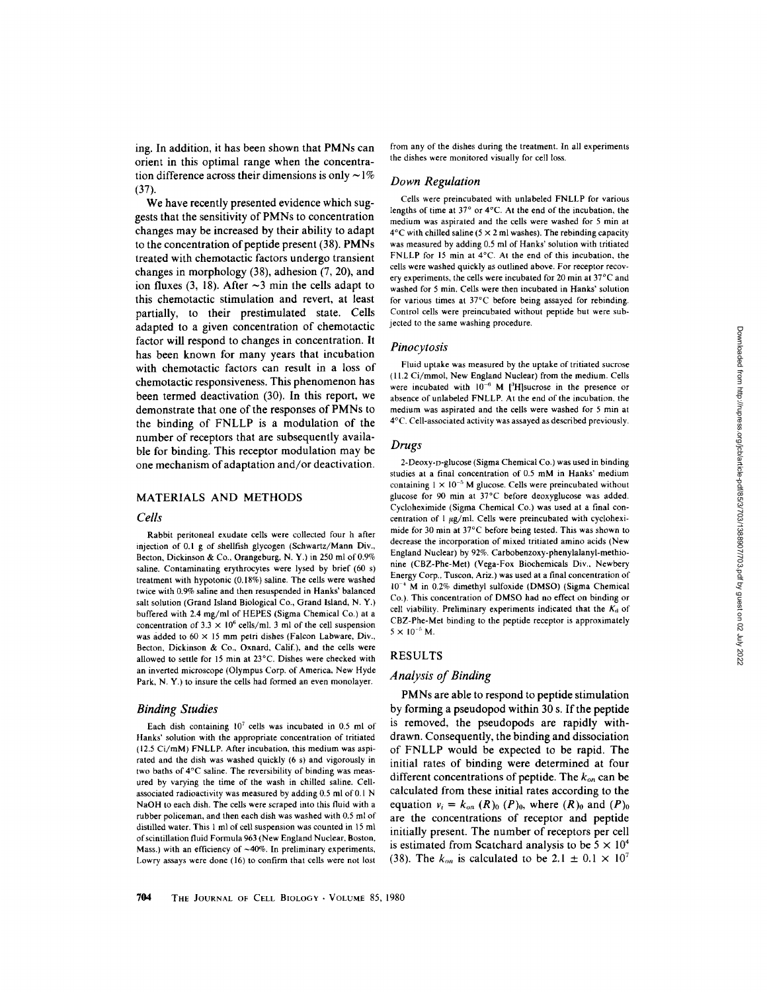orient in this optimal range when the concentration difference across their dimensions is only  $\sim$ 1% We have recently presented evidence which suggests that the sensitivity of PMNs to concentration Down Regulation

changes may be increased by their ability to adapt to the concentration of peptide present  $(38)$ . PMNs treated with chemotactic factors undergo transient changes in morphology (38), adhesion (7, 20), and ion fluxes (3, 18). After  $\sim$ 3 min the cells adapt to this chemotactic stimulation and revert, at least partially, to their prestimulated state. Cells adapted to a given concentration of chemotactic factor will respond to changes in concentration It has been known for many years that incubation with chemotactic factors can result in a loss of chemotactic responsiveness . This phenomenon has been termed deactivation (30). In this report, we demonstrate that one of the responses of PMNs to the binding of FNLLP is a modulation of the number of receptors that are subsequently available for binding. This receptor modulation may be one mechanism of adaptation and/or deactivation.

ing. In addition, it has been shown that PMNs can

# MATERIALS AND METHODS

#### Cells

 $(37)$ .

Rabbit peritoneal exudate cells were collected four h after injection of 0.1 g of shellfish glycogen (Schwartz/Mann Div., Becton, Dickinson & Co., Orangeburg, N.Y.) in 250 ml of 0.9% saline. Contaminating erythrocytes were lysed by brief (60 s) treatment with hypotonic (0.18%) saline The cells were washed twice with 0.9% saline and then resuspended in Hanks' balanced salt solution (Grand Island Biological Co., Grand Island, N.Y.) buffered with 2.4 mg/ml of HEPES (Sigma Chemical Co.) at a concentration of  $3.3 \times 10^6$  cells/ml. 3 ml of the cell suspension was added to  $60 \times 15$  mm petri dishes (Falcon Labware, Div., Becton, Dickinson & Co., Oxnard, Calif.), and the cells were allowed to settle for <sup>15</sup> min at 23°C . Dishes were checked with an inverted microscope (Olympus Corp. of America, New Hyde Park, N.Y.) to insure the cells had formed an even monolayer.

# Binding Studies

Each dish containing  $10^7$  cells was incubated in 0.5 ml of Hanks' solution with the appropriate concentration of tritiated (12.5 Ci/mM) FNLLP. After incubation, this medium was aspirated and the dish was washed quickly (6 s) and vigorously in two baths of 4°C saline . The reversibility of binding was measured by varying the time of the wash in chilled saline. Cellassociated radioactivity was measured by adding 0.5 ml of 0.1 N NaOH to each dish. The cells were scraped into this fluid with a rubber policeman, and then each dish was washed with 0.5 ml of distilled water. This <sup>1</sup> ml of cell suspension was counted in 15 ml of scintillation fluid Formula 963(New England Nuclear, Boston, Mass.) with an efficiency of  $~40\%$ . In preliminary experiments, Lowry assays were done (16) to confirm that cells were not lost

from any of the dishes during the treatment. In all experiments the dishes were monitored visually for cell loss

Cells were preincubated with unlabeled FNLLP for various lengths of time at 37° or 4°C. At the end of the incubation, the medium was aspirated and the cells were washed for 5 min at  $4^{\circ}$ C with chilled saline (5  $\times$  2 ml washes). The rebinding capacity was measured by adding 0.5 ml of Hanks' solution with tritiated FNLLP for 15 min at  $4^{\circ}$ C. At the end of this incubation, the cells were washed quickly as outlined above. For receptor recovery experiments, the cells were incubated for 20 min at 37°C and washed for 5 min. Cells were then incubated in Hanks' solution for various times at 37°C before being assayed for rebinding. Control cells were preincubated without peptide but were subjected to the same washing procedure.

#### Pinocytosis

Fluid uptake was measured by the uptake of tritiated sucrose (11 .2 Ci/mmol, New England Nuclear) from the medium . Cells were incubated with  $10^{-6}$  M [<sup>3</sup>H]sucrose in the presence or absence of unlabeled FNLLP. At the end of the incubation, the medium was aspirated and the cells were washed for 5 min at 4° C Cell-associated activity was assayed as described previously

# Drugs

2-Deoxy-n-glucose (Sigma Chemical Co.) was used in binding studies at <sup>a</sup> final concentration of 0.5 mM in Hanks' medium containing  $1 \times 10^{-5}$  M glucose. Cells were preincubated without glucose for 90 min at 37°C before deoxyglucose was added. Cycloheximide (Sigma Chemical Co.) was used at a final concentration of  $1 \mu g/ml$ . Cells were preincubated with cycloheximide for 30 min at 37°C before being tested. This was shown to decrease the incorporation of mixed tritiated amino acids (New England Nuclear) by 92%. Carbobenzoxy-phenylalanyl-methionine (CBZ-Phe-Met) (Vega-Fox Biochemicals Div., Newbery Energy Corp., Tuscon, Ariz.) was used at a final concentration of 10-° M in 0.2% dimethyl sulfoxide (DMSO) (Sigma Chemical Co.). This concentration of DMSO had no effect on binding or cell viability. Preliminary experiments indicated that the  $K_d$  of CBZ-Phe-Met binding to the peptide receptor is approximately  $5 \times 10^{-5}$  M.

# RESULTS

# Analysis of Binding

PMNs are able to respond to peptide stimulation by forming a pseudopod within 30 s. If the peptide is removed, the pseudopods are rapidly withdrawn. Consequently, the binding and dissociation of FNLLP would be expected to be rapid. The initial rates of binding were determined at four different concentrations of peptide. The  $k_{on}$  can be calculated from these initial rates according to the equation  $v_i = k_{on} (R)_0 (P)_0$ , where  $(R)_0$  and  $(P)_0$ are the concentrations of receptor and peptide initially present. The number of receptors per cell is estimated from Scatchard analysis to be  $5 \times 10^4$ (38). The  $k_{on}$  is calculated to be 2.1  $\pm$  0.1  $\times$  10<sup>7</sup>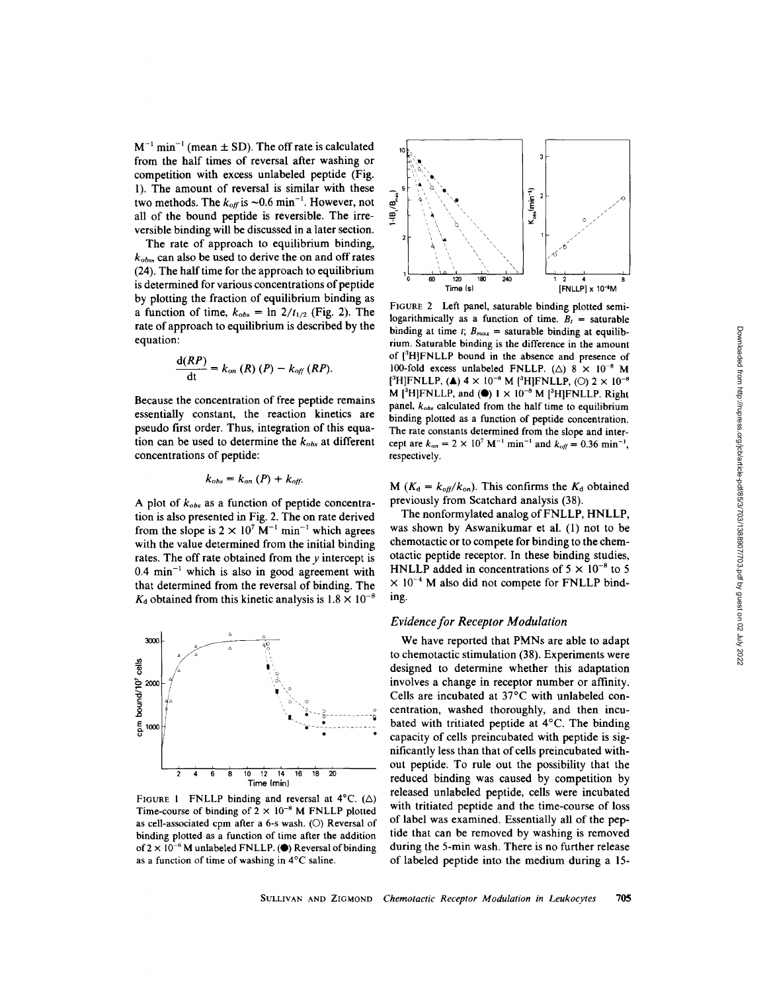$M^{-1}$  min<sup>-1</sup> (mean  $\pm$  SD). The off rate is calculated from the half times of reversal after washing or competition with excess unlabeled peptide (Fig. 1). The amount of reversal is similar with these two methods. The  $k_{off}$  is ~0.6 min<sup>-1</sup>. However, not all of the bound peptide is reversible. The irreversible binding will be discussed in a later section.

The rate of approach to equilibrium binding,  $k_{obs}$ , can also be used to derive the on and off rates (24) . The half time for the approach to equilibrium is determined for various concentrations of peptide by plotting the fraction of equilibrium binding as a function of time,  $k_{obs} = \ln 2/t_{1/2}$  (Fig. 2). The rate of approach to equilibrium is described by the equation :

$$
\frac{\mathrm{d}(RP)}{\mathrm{d}t}=k_{on}\left(R\right)\left(P\right)-k_{off}\left(RP\right).
$$

Because the concentration of free peptide remains essentially constant, the reaction kinetics are pseudo first order. Thus, integration of this equation can be used to determine the  $k_{obs}$  at different concentrations of peptide:

$$
k_{obs}=k_{on}\ (P)+k_{off}
$$

A plot of  $k_{obs}$  as a function of peptide concentration is also presented in Fig. 2. The on rate derived from the slope is  $2 \times 10^7$  M<sup>-1</sup> min<sup>-1</sup> which agrees with the value determined from the initial binding rates. The off rate obtained from the  $y$  intercept is  $0.4 \text{ min}^{-1}$  which is also in good agreement with that determined from the reversal of binding. The  $K_d$  obtained from this kinetic analysis is  $1.8 \times 10^{-8}$ 



FIGURE 1 FNLLP binding and reversal at  $4^{\circ}$ C. ( $\triangle$ ) Time-course of binding of  $2 \times 10^{-8}$  M FNLLP plotted as cell-associated cpm after a 6-s wash.  $(O)$  Reversal of binding plotted as a function of time after the addition of  $2 \times 10^{-6}$  M unlabeled FNLLP. (O) Reversal of binding as a function of time of washing in 4°C saline .



FIGURE 2 Left panel, saturable binding plotted semilogarithmically as a function of time.  $B_t$  = saturable binding at time t;  $B_{max}$  = saturable binding at equilibrium . Saturable binding is the difference in the amount of [3 H]FNLLP bound in the absence and presence of 100-fold excess unlabeled FNLLP ( $\triangle$ ) 8  $\times$  10<sup>-8</sup> M  $[{}^{3}H]$ FNLLP, (A)  $4 \times 10^{-8}$  M  $[{}^{3}H]$ FNLLP, (O)  $2 \times 10^{-8}$ M  $[{}^3H]$ FNLLP, and ( $\bullet$ ) 1 × 10<sup>-8</sup> M  $[{}^3H]$ FNLLP. Right panel,  $k_{obs}$  calculated from the half time to equilibrium binding plotted as a function of peptide concentration. The rate constants determined from the slope and intercept are  $k_{on} = 2 \times 10^7 \text{ M}^{-1} \text{ min}^{-1}$  and  $k_{off} = 0.36 \text{ min}^{-1}$ , respectively.

M ( $K_d = k_{off}/k_{on}$ ). This confirms the  $K_d$  obtained previously from Scatchard analysis (38) .

The nonformylated analog of FNLLP, HNLLP, was shown by Aswanikumar et al. (1) not to be chemotactic or to compete for binding to the chemotactic peptide receptor . In these binding studies, HNLLP added in concentrations of  $5 \times 10^{-8}$  to 5  $\times$  10<sup>-4</sup> M also did not compete for FNLLP binding.

# **Evidence for Receptor Modulation**

We have reported that PMNs are able to adapt to chemotactic stimulation (38). Experiments were designed to determine whether this adaptation involves a change in receptor number or affinity. Cells are incubated at  $37^{\circ}$ C with unlabeled concentration, washed thoroughly, and then incubated with tritiated peptide at 4'C. The binding capacity of cells preincubated with peptide is significantly less than that of cells preincubated without peptide. To rule out the possibility that the reduced binding was caused by competition by released unlabeled peptide, cells were incubated with tritiated peptide and the time-course of loss of label was examined. Essentially all of the peptide that can be removed by washing is removed during the 5-min wash. There is no further release of labeled peptide into the medium during a 15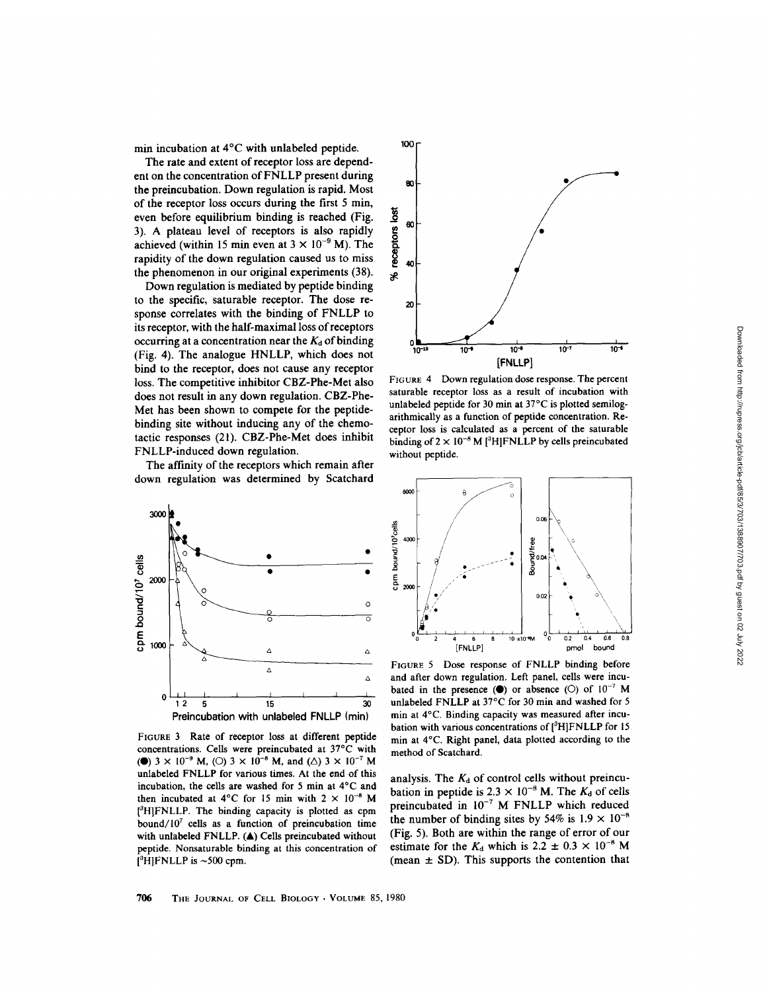min incubation at 4°C with unlabeled peptide.

The rate and extent of receptor loss are dependent on the concentration of FNLLP present during the preincubation. Down regulation is rapid. Most of the receptor loss occurs during the first 5 min, even before equilibrium binding is reached (Fig. 3). A plateau level of receptors is also rapidly achieved (within 15 min even at  $3 \times 10^{-9}$  M). The rapidity of the down regulation caused us to miss the phenomenon in our original experiments (38).

Down regulation is mediated by peptide binding to the specific, saturable receptor. The dose response correlates with the binding of FNLLP to its receptor, with the half-maximal loss ofreceptors occurring at a concentration near the  $K_d$  of binding (Fig. 4). The analogue HNLLP, which does not bind to the receptor, does not cause any receptor loss. The competitive inhibitor CBZ-Phe-Met also does not result in any down regulation . CBZ-Phe-Met has been shown to compete for the peptidebinding site without inducing any of the chemotactic responses (21) . CBZ-Phe-Met does inhibit FNLLP-induced down regulation.

The affinity of the receptors which remain after down regulation was determined by Scatchard



FIGURE 3 Rate of receptor loss at different peptide concentrations . Cells were preincubated at 37°C with (**0**)  $3 \times 10^{-9}$  M, (O)  $3 \times 10^{-8}$  M, and ( $\triangle$ )  $3 \times 10^{-7}$  M unlabeled FNLLP for various times. At the end of this incubation, the cells are washed for <sup>5</sup> min at 4°C and then incubated at 4°C for 15 min with  $2 \times 10^{-8}$  M [3H]FNLLP. The binding capacity is plotted as cpm bound/ $10<sup>7</sup>$  cells as a function of preincubation time with unlabeled FNLLP. (A) Cells preincubated without peptide. Nonsaturable binding at this concentration of  $[$ <sup>3</sup>H]FNLLP is ~500 cpm.



FIGURE 4 Down regulation dose response. The percent saturable receptor loss as a result of incubation with unlabeled peptide for 30 min at 37°C is plotted semilogarithmically as a function of peptide concentration. Receptor loss is calculated as a percent of the saturable binding of  $2 \times 10^{-8}$  M [<sup>3</sup>H]FNLLP by cells preincubated without peptide.



FIGURE <sup>5</sup> Dose response of FNLLP binding before and after down regulation. Left panel, cells were incubated in the presence  $(\bullet)$  or absence  $(\circ)$  of  $10^{-7}$  M unlabeled FNLLP at 37°C for 30 min and washed for <sup>5</sup> min at 4°C. Binding capacity was measured after incubation with various concentrations of  $[{}^{3}H]FNLLP$  for 15 min at 4°C. Right panel, data plotted according to the method of Scatchard.

analysis. The  $K_d$  of control cells without preincubation in peptide is  $2.3 \times 10^{-8}$  M. The  $K_d$  of cells preincubated in  $10^{-7}$  M FNLLP which reduced the number of binding sites by 54% is  $1.9 \times 10^{-8}$ (Fig. 5). Both are within the range of error of our estimate for the  $K_d$  which is 2.2  $\pm$  0.3  $\times$  10<sup>-8</sup> M (mean  $\pm$  SD). This supports the contention that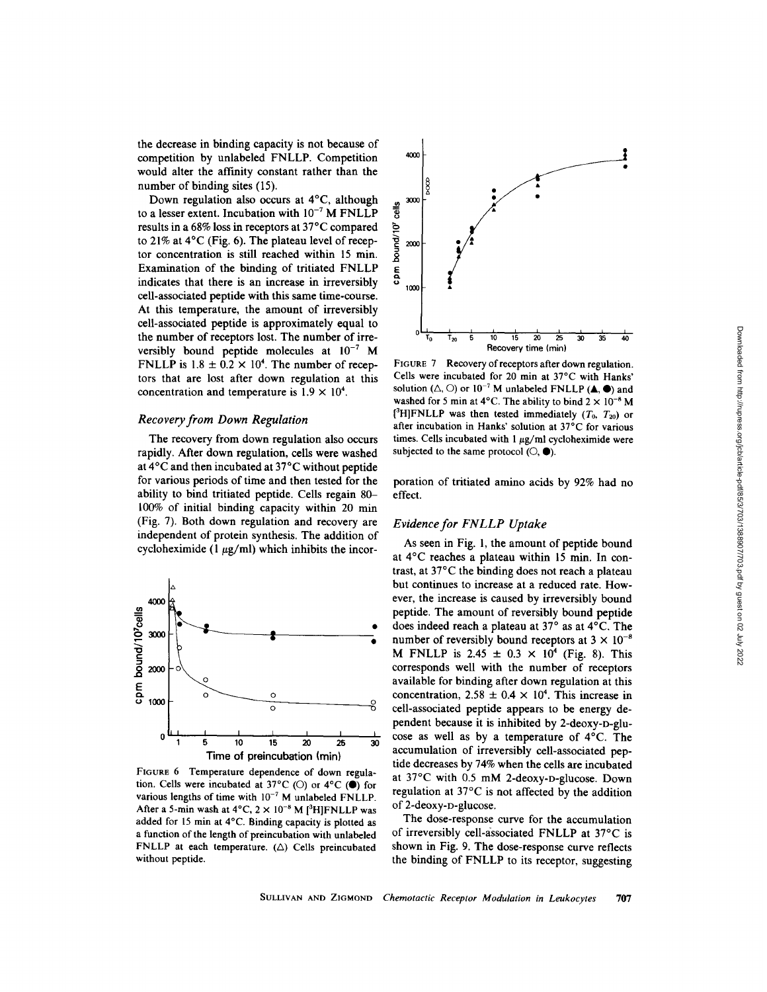the decrease in binding capacity is not because of competition by unlabeled FNLLP. Competition would alter the affinity constant rather than the number of binding sites (15).

Down regulation also occurs at 4°C, although to a lesser extent. Incubation with  $10^{-7}$  M FNLLP results in a 68% loss in receptors at 37°C compared to 21% at  $4^{\circ}$ C (Fig. 6). The plateau level of receptor concentration is still reached within <sup>15</sup> min. Examination of the binding of tritiated FNLLP indicates that there is an increase in irreversibly cell-associated peptide with this same time-course. At this temperature, the amount of irreversibly cell-associated peptide is approximately equal to the number of receptors lost. The number of irreversibly bound peptide molecules at  $10^{-7}$  M FNLLP is  $1.8 \pm 0.2 \times 10^4$ . The number of receptors that are lost after down regulation at this concentration and temperature is  $1.9 \times 10^4$ .

# Recovery from Down Regulation

The recovery from down regulation also occurs rapidly. After down regulation, cells were washed at 4°C and then incubated at 37°C without peptide for various periods of time and then tested for the ability to bind tritiated peptide. Cells regain 80- 100% of initial binding capacity within 20 min (Fig. 7). Both down regulation and recovery are independent of protein synthesis. The addition of cycloheximide (1  $\mu$ g/ml) which inhibits the incor-



FIGURE 6 Temperature dependence of down regulation. Cells were incubated at 37°C (O) or 4°C ( $\bullet$ ) for various lengths of time with  $10^{-7}$  M unlabeled FNLLP. After a 5-min wash at  $4^{\circ}$ C,  $2 \times 10^{-8}$  M  $[$ <sup>3</sup>H]FNLLP was added for <sup>15</sup> min at 4°C. Binding capacity is plotted as a function of the length of preincubation with unlabeled FNLLP at each temperature.  $(\triangle)$  Cells preincubated without peptide.



FIGURE 7 Recovery of receptors after down regulation. Cells were incubated for 20 min at 37°C with Hanks' solution ( $\triangle$ ,  $\bigcirc$ ) or  $10^{-7}$  M unlabeled FNLLP ( $\triangle$ ,  $\bullet$ ) and washed for 5 min at 4°C. The ability to bind  $2 \times 10^{-8}$  M [<sup>3</sup>H]FNLLP was then tested immediately  $(T_0, T_{20})$  or after incubation in Hanks' solution at 37°C for various times. Cells incubated with  $1 \mu g/ml$  cycloheximide were subjected to the same protocol  $(O, \bullet)$ .

poration of tritiated amino acids by 92% had no effect.

# Evidence for FNLLP Uptake

As seen in Fig. 1, the amount of peptide bound at 4°C reaches a plateau within <sup>15</sup> min. In contrast, at 37°C the binding does not reach a plateau but continues to increase at a reduced rate. However, the increase is caused by irreversibly bound peptide. The amount of reversibly bound peptide does indeed reach a plateau at 37° as at 4°C. The number of reversibly bound receptors at  $3 \times 10^{-8}$ M FNLLP is 2.45  $\pm$  0.3  $\times$  10<sup>4</sup> (Fig. 8). This corresponds well with the number of receptors available for binding after down regulation at this concentration,  $2.58 \pm 0.4 \times 10^4$ . This increase in cell-associated peptide appears to be energy dependent because it is inhibited by 2-deoxy-D-glucose as well as by a temperature of 4°C. The accumulation of irreversibly cell-associated peptide decreases by 74% when the cells are incubated at 37°C with 0.5 mM 2-deoxy-D-glucose. Down regulation at 37°C is not affected by the addition of 2-deoxy-D-glucose.

The dose-response curve for the accumulation of irreversibly cell-associated FNLLP at 37°C is shown in Fig. 9. The dose-response curve reflects the binding of FNLLP to its receptor, suggesting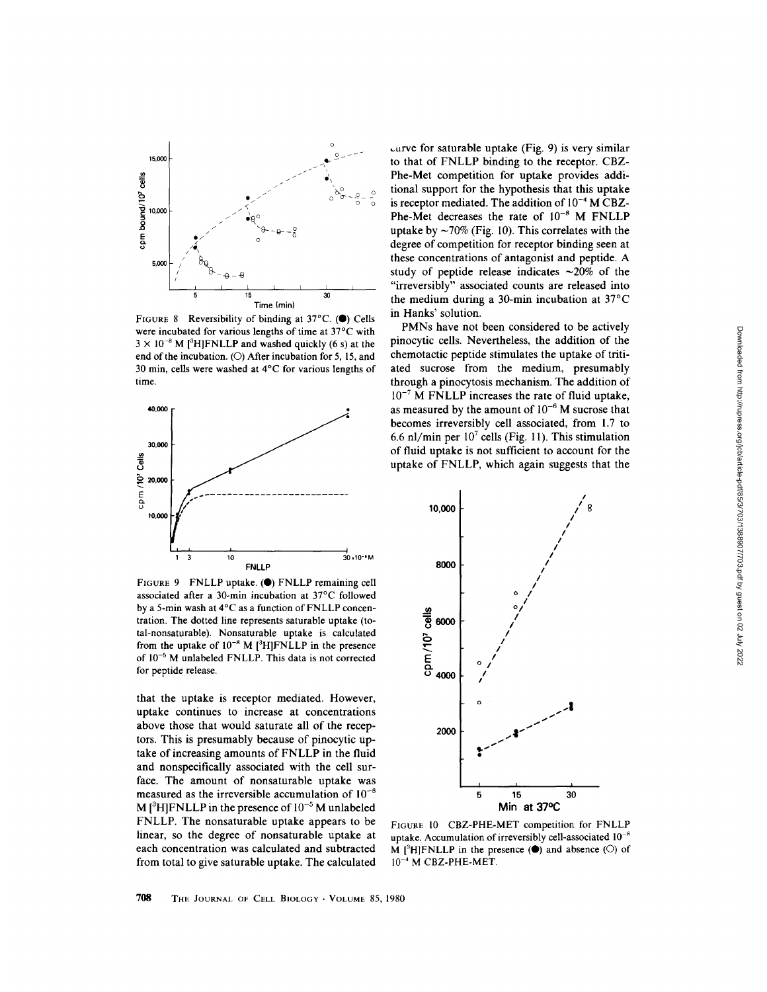

FIGURE 8 Reversibility of binding at  $37^{\circ}$ C. (.) Cells were incubated for various lengths of time at 37°C with  $3 \times 10^{-8}$  M [<sup>3</sup>H]FNLLP and washed quickly (6 s) at the end of the incubation . (O) After incubation for 5, 15, and 30 min, cells were washed at 4'C for various lengths of time .



FIGURE 9 FNLLP uptake. (O) FNLLP remaining cell associated after a 30-min incubation at 37°C followed by a 5-min wash at  $4^{\circ}$ C as a function of FNLLP concentration. The dotted line represents saturable uptake (total-nonsaturable). Nonsaturable uptake is calculated from the uptake of  $10^{-8}$  M [<sup>3</sup>H]FNLLP in the presence of 10-5 M unlabeled FNLLP. This data is not corrected for peptide release.

that the uptake is receptor mediated. However, uptake continues to increase at concentrations above those that would saturate all of the receptors . This is presumably because of pinocytic uptake of increasing amounts of FNLLP in the fluid and nonspecifically associated with the cell surface. The amount of nonsaturable uptake was measured as the irreversible accumulation of  $10^{-8}$ M  $[{}^3H]$ FNLLP in the presence of  $10^{-5}$  M unlabeled FNLLP. The nonsaturable uptake appears to be linear, so the degree of nonsaturable uptake at each concentration was calculated and subtracted from total to give saturable uptake. The calculated

 $curve for saturable uptake (Fig. 9) is very similar$ to that of FNLLP binding to the receptor. CBZ-Phe-Met competition for uptake provides additional support for the hypothesis that this uptake is receptor mediated. The addition of  $10^{-4}$  M CBZ-Phe-Met decreases the rate of  $10^{-8}$  M FNLLP uptake by  $\sim$ 70% (Fig. 10). This correlates with the degree of competition for receptor binding seen at these concentrations of antagonist and peptide. A study of peptide release indicates  $\sim$ 20% of the "irreversibly" associated counts are released into the medium during a 30-min incubation at  $37^{\circ}$ C in Hanks' solution.

PMNs have not been considered to be actively pinocytic cells. Nevertheless, the addition of the chemotactic peptide stimulates the uptake of tritiated sucrose from the medium, presumably through a pinocytosis mechanism. The addition of  $10^{-7}$  M FNLLP increases the rate of fluid uptake, as measured by the amount of  $10^{-6}$  M sucrose that becomes irreversibly cell associated, from 1.7 to 6.6 nl/min per  $10^7$  cells (Fig. 11). This stimulation of fluid uptake is not sufficient to account for the uptake of FNLLP, which again suggests that the



FIGURE <sup>10</sup> CBZ-PHE-MET competition for FNLLP uptake. Accumulation of irreversibly cell-associated  $10^{-8}$ M  $[3H]FNLLP$  in the presence ( $\bullet$ ) and absence ( $\circ$ ) of  $10^{-4}$  M CBZ-PHE-MET.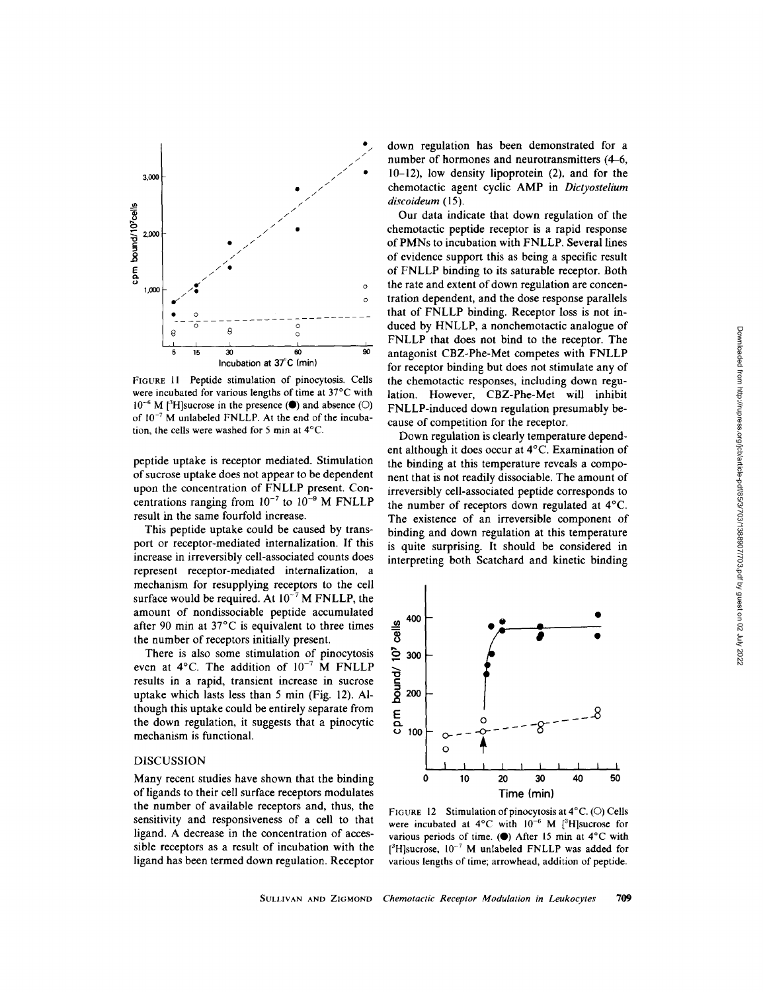

FIGURE <sup>11</sup> Peptide stimulation of pinocytosis Cells were incubated for various lengths of time at 37°C with  $10^{-6}$  M [<sup>3</sup>H]sucrose in the presence ( $\bullet$ ) and absence ( $\circ$ ) of  $10^{-7}$  M unlabeled FNLLP. At the end of the incubation, the cells were washed for <sup>5</sup> min at 4°C.

peptide uptake is receptor mediated. Stimulation of sucrose uptake does not appear to be dependent upon the concentration of FNLLP present. Concentrations ranging from  $10^{-7}$  to  $10^{-9}$  M FNLLP result in the same fourfold increase

This peptide uptake could be caused by transport or receptor-mediated internalization. If this increase in irreversibly cell-associated counts does represent receptor-mediated internalization, a mechanism for resupplying receptors to the cell surface would be required. At  $10^{-7}$  M FNLLP, the amount of nondissociable peptide accumulated after 90 min at 37°C is equivalent to three times the number of receptors initially present.

There is also some stimulation of pinocytosis even at  $4^{\circ}$ C. The addition of  $10^{-7}$  M FNLLP results in a rapid, transient increase in sucrose uptake which lasts less than 5 min (Fig. 12). Although this uptake could be entirely separate from the down regulation, it suggests that a pinocytic mechanism is functional.

#### DISCUSSION

Many recent studies have shown that the binding of ligands to their cell surface receptors modulates the number of available receptors and, thus, the sensitivity and responsiveness of a cell to that ligand . A decrease in the concentration of accessible receptors as a result of incubation with the ligand has been termed down regulation. Receptor

down regulation has been demonstrated for a number of hormones and neurotransmitters (4-6, 10-12), low density lipoprotein (2), and for the chemotactic agent cyclic AMP in Dictyostelium discoideum (15).

Our data indicate that down regulation of the chemotactic peptide receptor is a rapid response of PMNs to incubation with FNLLP. Several lines of evidence support this as being a specific result of FNLLP binding to its saturable receptor. Both the rate and extent of down regulation are concentration dependent, and the dose response parallels that of FNLLP binding. Receptor loss is not induced by HNLLP, a nonchemotactic analogue of FNLLP that does not bind to the receptor. The antagonist CBZ-Phe-Met competes with FNLLP for receptor binding but does not stimulate any of the chemotactic responses, including down regulation. However, CBZ-Phe-Met will inhibit FNLLP-induced down regulation presumably because of competition for the receptor.

Down regulation is clearly temperature dependent although it does occur at 4°C. Examination of the binding at this temperature reveals a component that is not readily dissociable. The amount of irreversibly cell-associated peptide corresponds to the number of receptors down regulated at 4°C. The existence of an irreversible component of binding and down regulation at this temperature is quite surprising. It should be considered in interpreting both Scatchard and kinetic binding



FIGURE 12 Stimulation of pinocytosis at  $4^{\circ}$ C. (O) Cells were incubated at  $4^{\circ}$ C with  $10^{-6}$  M [<sup>3</sup>H]sucrose for various periods of time. ( $\bullet$ ) After 15 min at 4°C with  $[$ <sup>3</sup>H]sucrose,  $10^{-7}$  M unlabeled FNLLP was added for various lengths of time; arrowhead, addition of peptide.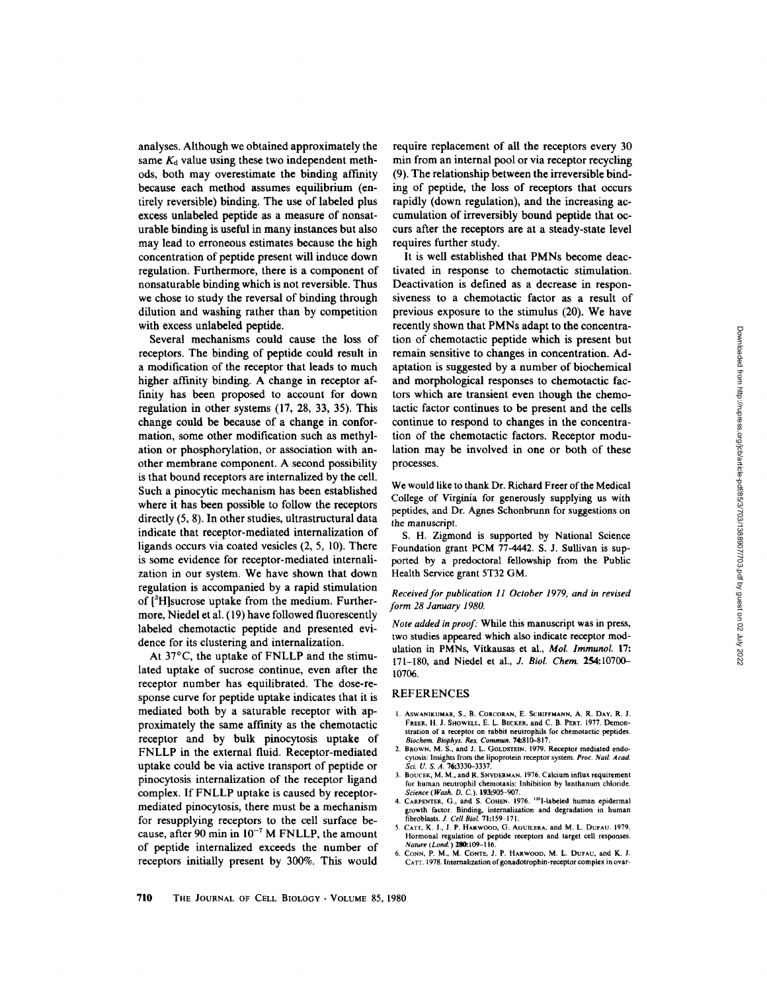analyses. Although we obtained approximately the same  $K_d$  value using these two independent methods, both may overestimate the binding affinity because each method assumes equilibrium (entirely reversible) binding. The use of labeled plus excess unlabeled peptide as a measure of nonsaturable binding is useful in many instances but also may lead to erroneous estimates because the high concentration of peptide present will induce down regulation. Furthermore, there is a component of nonsaturable binding which is not reversible . Thus we chose to study the reversal of binding through dilution and washing rather than by competition with excess unlabeled peptide.

Several mechanisms could cause the loss of receptors. The binding of peptide could result in <sup>a</sup> modification of the receptor that leads to much higher affinity binding. A change in receptor affinity has been proposed to account for down regulation in other systems (17, 28, 33, 35). This change could be because of a change in conformation, some other modification such as methylation or phosphorylation, or association with another membrane component. A second possibility is that bound receptors are internalized by the cell. Such a pinocytic mechanism has been established where it has been possible to follow the receptors directly (5, 8) . In other studies, ultrastructural data indicate that receptor-mediated internalization of ligands occurs via coated vesicles (2, 5, 10). There is some evidence for receptor-mediated internalization in our system. We have shown that down regulation is accompanied by a rapid stimulation of [?H]sucrose uptake from the medium. Furthermore, Niedel et al. (19) have followed fluorescently labeled chemotactic peptide and presented evidence for its clustering and internalization.

At 37°C, the uptake of FNLLP and the stimulated uptake of sucrose continue, even after the receptor number has equilibrated. The dose-response curve for peptide uptake indicates that it is mediated both by a saturable receptor with approximately the same affinity as the chemotactic receptor and by bulk pinocytosis uptake of FNLLP in the external fluid. Receptor-mediated uptake could be via active transport of peptide or pinocytosis internalization of the receptor ligand complex. If FNLLP uptake is caused by receptormediated pinocytosis, there must be a mechanism for resupplying receptors to the cell surface because, after 90 min in  $10^{-7}$  M FNLLP, the amount of peptide internalized exceeds the number of receptors initially present by 300%. This would

require replacement of all the receptors every 30 min from an internal pool or via receptor recycling (9). The relationship between the irreversible binding of peptide, the loss of receptors that occurs rapidly (down regulation), and the increasing accumulation of irreversibly bound peptide that occurs after the receptors are at a steady-state level requires further study.

It is well established that PMNs become deactivated in response to chemotactic stimulation. Deactivation is defined as a decrease in responsiveness to a chemotactic factor as a result of previous exposure to the stimulus (20). We have recently shown that PMNs adapt to the concentration of chemotactic peptide which is present but remain sensitive to changes in concentration. Adaptation is suggested by a number of biochemical and morphological responses to chemotactic factors which are transient even though the chemotactic factor continues to be present and the cells continue to respond to changes in the concentration of the chemotactic factors. Receptor modulation may be involved in one or both of these processes.

We would like to thank Dr. Richard Freer of the Medical College of Virginia for generously supplying us with peptides, and Dr. Agnes Schonbrunn for suggestions on the manuscript.

S. H. Zigmond is supported by National Science Foundation grant PCM 77-4442 S. J. Sullivan is supported by a predoctoral fellowship from the Public Health Service grant 5T32 GM.

#### Received for publication 11 October 1979, and in revised form 28 January 1980.

Note added in proof: While this manuscript was in press, two studies appeared which also indicate receptor modulation in PMNs, Vitkausas et al., Mol. Immunol. 17: 171-180, and Niedel et al., J. Biol. Chem. 254:10700-10706.

# REFERENCES

- 1. ASWANIKUMAR, S., B. CORCORAN, E. SCHIFFMANN, A. R. DAY, R. J. FREER, H. J. SHOWELL, E. L. BECKER, and C. B. PERT. 1977. Demonstration of a receptor on rabbit neutrophils for chemotactic peptides. Biochem. Biophys. Res. Commun. 74:810-817.
- 2. BROWN, M. S., and J. L. GOLDSTEIN. 1979. Receptor mediated endocytosis: Insights from the lipoprotein receptor system. Proc. Natl. Acad.<br>Sci. U. S. A. 76:3330–3337.
- 3. BOUCEK, M. M., and R . SNYDERMAN. <sup>1976</sup> . Calcium influx requirement for human neutrophil chemotaxis: Inhibition by lanthanum chloride. Science (Wash. D. C.). 193:905-907.
- 4. CARPENTER, G., and S. COHEN. 1976. <sup>125</sup>I-labeled human epidermal growth factor. Binding, internalization and degradation in human<br>fibroblasts. J. Cell Biol. 71:159-171.
- 5. CATT, K. J., J. P. HARWOOD, G. AGUILERA, and M. L. DUFAU. 1979. Hormonal regulation of peptide receptors and target cell responses. Nature (Land.) 2W.109-I <sup>16</sup>
- 6. CONN, P. M., M. CONTE, J. P. HARWOOD, M. L. DUFAU, and K. J. CATT. 1978 Internalization of gonadotrophin-receptor complex in ovar-